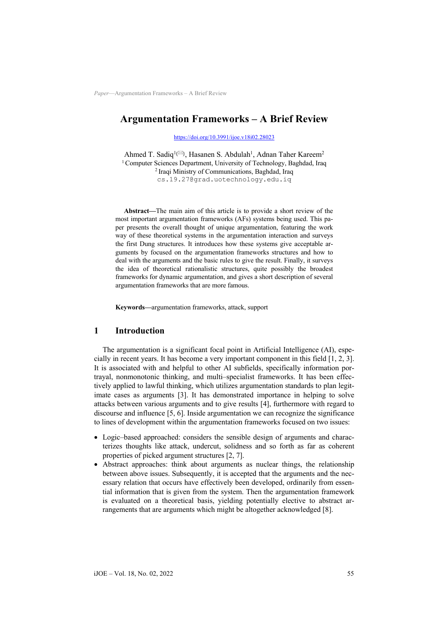# **Argumentation Frameworks – A Brief Review**

<https://doi.org/10.3991/ijoe.v18i02.28023>

Ahmed T. Sadiq<sup>1(⊠)</sup>, Hasanen S. Abdulah<sup>1</sup>, Adnan Taher Kareem<sup>2</sup> <sup>1</sup> Computer Sciences Department, University of Technology, Baghdad, Iraq <sup>2</sup> Iraqi Ministry of Communications, Baghdad, Iraq cs.19.27@grad.uotechnology.edu.iq

**Abstract—**The main aim of this article is to provide a short review of the most important argumentation frameworks (AFs) systems being used. This paper presents the overall thought of unique argumentation, featuring the work way of these theoretical systems in the argumentation interaction and surveys the first Dung structures. It introduces how these systems give acceptable arguments by focused on the argumentation frameworks structures and how to deal with the arguments and the basic rules to give the result. Finally, it surveys the idea of theoretical rationalistic structures, quite possibly the broadest frameworks for dynamic argumentation, and gives a short description of several argumentation frameworks that are more famous.

**Keywords—**argumentation frameworks, attack, support

## **1 Introduction**

The argumentation is a significant focal point in Artificial Intelligence (AI), especially in recent years. It has become a very important component in this field [1, 2, 3]. It is associated with and helpful to other AI subfields, specifically information portrayal, nonmonotonic thinking, and multi–specialist frameworks. It has been effectively applied to lawful thinking, which utilizes argumentation standards to plan legitimate cases as arguments [3]. It has demonstrated importance in helping to solve attacks between various arguments and to give results [4], furthermore with regard to discourse and influence [5, 6]. Inside argumentation we can recognize the significance to lines of development within the argumentation frameworks focused on two issues:

- Logic–based approached: considers the sensible design of arguments and characterizes thoughts like attack, undercut, solidness and so forth as far as coherent properties of picked argument structures [2, 7].
- Abstract approaches: think about arguments as nuclear things, the relationship between above issues. Subsequently, it is accepted that the arguments and the necessary relation that occurs have effectively been developed, ordinarily from essential information that is given from the system. Then the argumentation framework is evaluated on a theoretical basis, yielding potentially elective to abstract arrangements that are arguments which might be altogether acknowledged [8].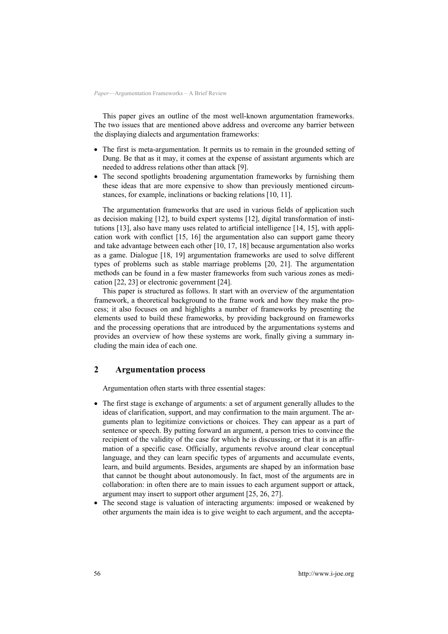This paper gives an outline of the most well-known argumentation frameworks. The two issues that are mentioned above address and overcome any barrier between the displaying dialects and argumentation frameworks:

- The first is meta-argumentation. It permits us to remain in the grounded setting of Dung. Be that as it may, it comes at the expense of assistant arguments which are needed to address relations other than attack [9].
- The second spotlights broadening argumentation frameworks by furnishing them these ideas that are more expensive to show than previously mentioned circumstances, for example, inclinations or backing relations [10, 11].

The argumentation frameworks that are used in various fields of application such as decision making [12], to build expert systems [12], digital transformation of institutions [13], also have many uses related to artificial intelligence [14, 15], with application work with conflict [15, 16] the argumentation also can support game theory and take advantage between each other [10, 17, 18] because argumentation also works as a game. Dialogue [18, 19] argumentation frameworks are used to solve different types of problems such as stable marriage problems [20, 21]. The argumentation methods can be found in a few master frameworks from such various zones as medication [22, 23] or electronic government [24].

This paper is structured as follows. It start with an overview of the argumentation framework, a theoretical background to the frame work and how they make the process; it also focuses on and highlights a number of frameworks by presenting the elements used to build these frameworks, by providing background on frameworks and the processing operations that are introduced by the argumentations systems and provides an overview of how these systems are work, finally giving a summary including the main idea of each one.

# **2 Argumentation process**

Argumentation often starts with three essential stages:

- The first stage is exchange of arguments: a set of argument generally alludes to the ideas of clarification, support, and may confirmation to the main argument. The arguments plan to legitimize convictions or choices. They can appear as a part of sentence or speech. By putting forward an argument, a person tries to convince the recipient of the validity of the case for which he is discussing, or that it is an affirmation of a specific case. Officially, arguments revolve around clear conceptual language, and they can learn specific types of arguments and accumulate events, learn, and build arguments. Besides, arguments are shaped by an information base that cannot be thought about autonomously. In fact, most of the arguments are in collaboration: in often there are to main issues to each argument support or attack, argument may insert to support other argument [25, 26, 27].
- The second stage is valuation of interacting arguments: imposed or weakened by other arguments the main idea is to give weight to each argument, and the accepta-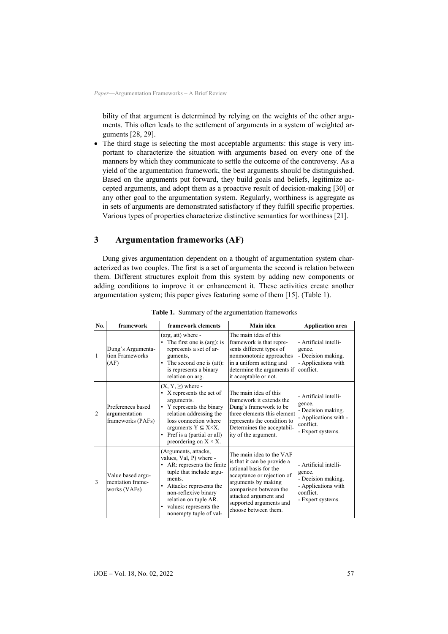bility of that argument is determined by relying on the weights of the other arguments. This often leads to the settlement of arguments in a system of weighted arguments [28, 29].

The third stage is selecting the most acceptable arguments: this stage is very important to characterize the situation with arguments based on every one of the manners by which they communicate to settle the outcome of the controversy. As a yield of the argumentation framework, the best arguments should be distinguished. Based on the arguments put forward, they build goals and beliefs, legitimize accepted arguments, and adopt them as a proactive result of decision-making [30] or any other goal to the argumentation system. Regularly, worthiness is aggregate as in sets of arguments are demonstrated satisfactory if they fulfill specific properties. Various types of properties characterize distinctive semantics for worthiness [21].

# **3 Argumentation frameworks (AF)**

Dung gives argumentation dependent on a thought of argumentation system characterized as two couples. The first is a set of argumenta the second is relation between them. Different structures exploit from this system by adding new components or adding conditions to improve it or enhancement it. These activities create another argumentation system; this paper gives featuring some of them [15]. (Table 1).

| No. | framework                                               | framework elements                                                                                                                                                                                                                                                 | Main idea                                                                                                                                                                                                                                    | <b>Application area</b>                                                                                          |
|-----|---------------------------------------------------------|--------------------------------------------------------------------------------------------------------------------------------------------------------------------------------------------------------------------------------------------------------------------|----------------------------------------------------------------------------------------------------------------------------------------------------------------------------------------------------------------------------------------------|------------------------------------------------------------------------------------------------------------------|
| 1   | Dung's Argumenta-<br>tion Frameworks<br>(AF)            | (arg, att) where -<br>The first one is (arg): is<br>$\bullet$<br>represents a set of ar-<br>guments,<br>The second one is (att):<br>is represents a binary<br>relation on arg.                                                                                     | The main idea of this<br>framework is that repre-<br>sents different types of<br>nonmonotonic approaches<br>in a uniform setting and<br>determine the arguments if<br>it acceptable or not.                                                  | - Artificial intelli-<br>gence.<br>- Decision making.<br>- Applications with<br>conflict.                        |
| 2   | Preferences based<br>argumentation<br>frameworks (PAFs) | $(X, Y, \geq)$ where -<br>X represents the set of<br>arguments.<br>Y represents the binary<br>$\bullet$<br>relation addressing the<br>loss connection where<br>arguments $Y \subseteq X \times X$ .<br>Pref is a (partial or all)<br>preordering on $X \times X$ . | The main idea of this<br>framework it extends the<br>Dung's framework to be<br>three elements this element<br>represents the condition to<br>Determines the acceptabil-<br>ity of the argument.                                              | - Artificial intelli-<br>gence.<br>- Decision making.<br>- Applications with -<br>conflict.<br>- Expert systems. |
| 3   | Value based argu-<br>mentation frame-<br>works (VAFs)   | (Arguments, attacks,<br>values, Val, P) where -<br>AR: represents the finite<br>٠<br>tuple that include argu-<br>ments.<br>Attacks: represents the<br>٠<br>non-reflexive binary<br>relation on tuple AR.<br>values: represents the<br>٠<br>nonempty tuple of val-  | The main idea to the VAF<br>is that it can be provide a<br>rational basis for the<br>acceptance or rejection of<br>arguments by making<br>comparison between the<br>attacked argument and<br>supported arguments and<br>choose between them. | - Artificial intelli-<br>gence.<br>- Decision making.<br>- Applications with<br>conflict.<br>- Expert systems.   |

**Table 1.** Summary of the argumentation frameworks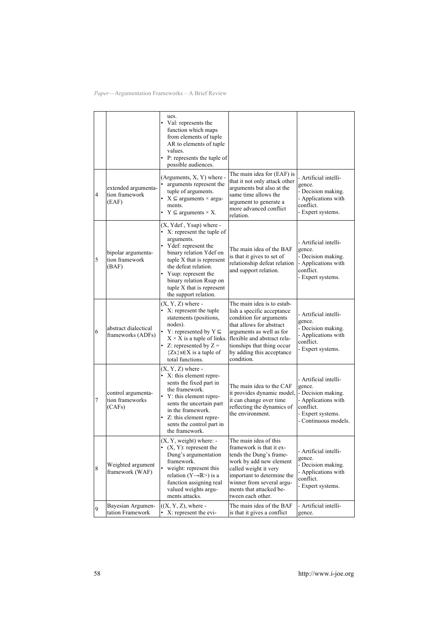|                |                                                 | ues.<br>• Val: represents the<br>function which maps<br>from elements of tuple<br>AR to elements of tuple<br>values.<br>• P: represents the tuple of<br>possible audiences.                                                                                                       |                                                                                                                                                                                                                                                     |                                                                                                                                        |
|----------------|-------------------------------------------------|-----------------------------------------------------------------------------------------------------------------------------------------------------------------------------------------------------------------------------------------------------------------------------------|-----------------------------------------------------------------------------------------------------------------------------------------------------------------------------------------------------------------------------------------------------|----------------------------------------------------------------------------------------------------------------------------------------|
| $\overline{4}$ | extended argumenta-<br>tion framework<br>(EAF)  | (Arguments, X, Y) where -<br>arguments represent the<br>tuple of arguments.<br>• $X \subseteq$ arguments $\times$ argu-<br>ments.<br>$Y \subseteq$ arguments $\times X$ .                                                                                                         | The main idea for (EAF) is<br>that it not only attack other<br>arguments but also at the<br>same time allows the<br>argument to generate a<br>more advanced conflict<br>relation.                                                                   | - Artificial intelli-<br>gence.<br>- Decision making.<br>- Applications with<br>conflict.<br>- Expert systems.                         |
| 5              | bipolar argumenta-<br>tion framework<br>(BAF)   | (X, Ydef, Ysup) where -<br>X: represent the tuple of<br>arguments.<br>Ydef: represent the<br>binary relation Ydef on<br>tuple X that is represent<br>the defeat relation.<br>Ysup: represent the<br>binary relation Rsup on<br>tuple X that is represent<br>the support relation. | The main idea of the BAF<br>is that it gives to set of<br>relationship defeat relation<br>and support relation.                                                                                                                                     | - Artificial intelli-<br>gence.<br>- Decision making.<br>- Applications with<br>conflict.<br>- Expert systems.                         |
| 6              | abstract dialectical<br>frameworks (ADFs)       | $(X, Y, Z)$ where -<br>• X: represent the tuple<br>statements (positions,<br>nodes).<br>Y: represented by $Y \subseteq$<br>$X \times X$ is a tuple of links.<br>Z: represented by $Z =$<br>${Zx}x \in X$ is a tuple of<br>total functions.                                        | The main idea is to estab-<br>lish a specific acceptance<br>condition for arguments<br>that allows for abstract<br>arguments as well as for<br>flexible and abstract rela-<br>tionships that thing occur<br>by adding this acceptance<br>condition. | - Artificial intelli-<br>gence.<br>- Decision making.<br>- Applications with<br>conflict.<br>- Expert systems.                         |
| 7              | control argumenta-<br>tion frameworks<br>(CAFs) | $(X, Y, Z)$ where -<br>• X: this element repre-<br>sents the fixed part in<br>the framework.<br>Y: this element repre-<br>sents the uncertain part<br>in the framework.<br>Z: this element repre-<br>sents the control part in<br>the framework.                                  | The main idea to the CAF<br>it provides dynamic model,<br>it can change over time<br>reflecting the dynamics of<br>the environment.                                                                                                                 | - Artificial intelli-<br>gence.<br>- Decision making.<br>- Applications with<br>conflict.<br>- Expert systems.<br>- Continuous models. |
| 8              | Weighted argument<br>framework (WAF)            | $(X, Y, weight)$ where: -<br>$(X, Y)$ : represent the<br>Dung's argumentation<br>framework.<br>weight: represent this<br>relation ( $Y \rightarrow \mathbb{R}$ >) is a<br>function assigning real<br>valued weights argu-<br>ments attacks.                                       | The main idea of this<br>framework is that it ex-<br>tends the Dung's frame-<br>work by add new element<br>called weight it very<br>important to determine the<br>winner from several argu-<br>ments that attacked be-<br>tween each other.         | - Artificial intelli-<br>gence.<br>- Decision making.<br>- Applications with<br>conflict.<br>- Expert systems.                         |
| 9              | Bayesian Argumen-<br>tation Framework           | $((X, Y, Z),$ where -<br>X: represent the evi-                                                                                                                                                                                                                                    | The main idea of the BAF<br>is that it gives a conflict                                                                                                                                                                                             | - Artificial intelli-<br>gence.                                                                                                        |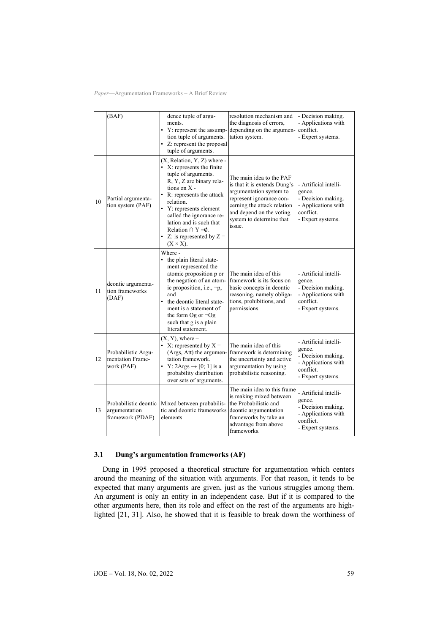|    | (BAF)                                                      | dence tuple of argu-<br>ments.<br>• Y: represent the assump-<br>tion tuple of arguments.<br>• Z: represent the proposal<br>tuple of arguments.                                                                                                                                                                                            | resolution mechanism and<br>the diagnosis of errors,<br>depending on the argumen-<br>tation system.                                                                                                              | - Decision making.<br>- Applications with<br>conflict.<br>- Expert systems.                                    |
|----|------------------------------------------------------------|-------------------------------------------------------------------------------------------------------------------------------------------------------------------------------------------------------------------------------------------------------------------------------------------------------------------------------------------|------------------------------------------------------------------------------------------------------------------------------------------------------------------------------------------------------------------|----------------------------------------------------------------------------------------------------------------|
| 10 | Partial argumenta-<br>tion system (PAF)                    | (X, Relation, Y, Z) where -<br>• X: represents the finite<br>tuple of arguments.<br>R, Y, Z are binary rela-<br>tions on $X -$<br>• R: represents the attack<br>relation.<br>• Y: represents element<br>called the ignorance re-<br>lation and is such that<br>Relation $\cap$ Y = Ø.<br>• Z: is represented by $Z =$<br>$(X \times X)$ . | The main idea to the PAF<br>is that it is extends Dung's<br>argumentation system to<br>represent ignorance con-<br>cerning the attack relation<br>and depend on the voting<br>system to determine that<br>issue. | - Artificial intelli-<br>gence.<br>- Decision making.<br>- Applications with<br>conflict.<br>- Expert systems. |
| 11 | deontic argumenta-<br>tion frameworks<br>(DAF)             | Where -<br>• the plain literal state-<br>ment represented the<br>atomic proposition p or<br>the negation of an atom-<br>ic proposition, i.e., $\neg p$ ,<br>and<br>• the deontic literal state-<br>ment is a statement of<br>the form Og or $\neg$ Og<br>such that g is a plain<br>literal statement.                                     | The main idea of this<br>framework is its focus on<br>basic concepts in deontic<br>reasoning, namely obliga-<br>tions, prohibitions, and<br>permissions.                                                         | - Artificial intelli-<br>gence.<br>- Decision making.<br>- Applications with<br>conflict.<br>- Expert systems. |
| 12 | Probabilistic Argu-<br>mentation Frame-<br>work (PAF)      | $(X, Y)$ , where $-$<br>• X: represented by $X =$<br>(Args, Att) the argumen-<br>tation framework.<br>• Y: 2Args $\rightarrow$ [0; 1] is a<br>probability distribution<br>over sets of arguments.                                                                                                                                         | The main idea of this<br>framework is determining<br>the uncertainty and active<br>argumentation by using<br>probabilistic reasoning.                                                                            | - Artificial intelli-<br>gence.<br>- Decision making.<br>- Applications with<br>conflict.<br>- Expert systems. |
| 13 | Probabilistic deontic<br>argumentation<br>framework (PDAF) | Mixed between probabilis-<br>tic and deontic frameworks<br>elements                                                                                                                                                                                                                                                                       | The main idea to this frame<br>is making mixed between<br>the Probabilistic and<br>deontic argumentation<br>frameworks by take an<br>advantage from above<br>frameworks.                                         | - Artificial intelli-<br>gence.<br>- Decision making.<br>- Applications with<br>conflict.<br>- Expert systems. |

## **3.1 Dung's argumentation frameworks (AF)**

Dung in 1995 proposed a theoretical structure for argumentation which centers around the meaning of the situation with arguments. For that reason, it tends to be expected that many arguments are given, just as the various struggles among them. An argument is only an entity in an independent case. But if it is compared to the other arguments here, then its role and effect on the rest of the arguments are highlighted [21, 31]. Also, he showed that it is feasible to break down the worthiness of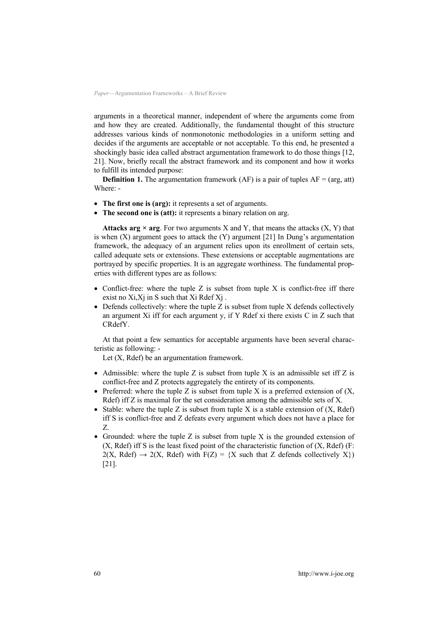arguments in a theoretical manner, independent of where the arguments come from and how they are created. Additionally, the fundamental thought of this structure addresses various kinds of nonmonotonic methodologies in a uniform setting and decides if the arguments are acceptable or not acceptable. To this end, he presented a shockingly basic idea called abstract argumentation framework to do those things [12, 21]. Now, briefly recall the abstract framework and its component and how it works to fulfill its intended purpose:

**Definition 1.** The argumentation framework  $(AF)$  is a pair of tuples  $AF = (arg, att)$ Where: -

- **The first one is (arg):** it represents a set of arguments.
- **The second one is (att):** it represents a binary relation on arg.

**Attacks arg**  $\times$  **arg.** For two arguments X and Y, that means the attacks  $(X, Y)$  that is when  $(X)$  argument goes to attack the  $(Y)$  argument [21] In Dung's argumentation framework, the adequacy of an argument relies upon its enrollment of certain sets, called adequate sets or extensions. These extensions or acceptable augmentations are portrayed by specific properties. It is an aggregate worthiness. The fundamental properties with different types are as follows:

- Conflict-free: where the tuple  $Z$  is subset from tuple  $X$  is conflict-free iff there exist no  $Xi,Xi$  in S such that  $Xi$  Rdef  $Xi$ .
- Defends collectively: where the tuple  $Z$  is subset from tuple  $X$  defends collectively an argument Xi iff for each argument y, if Y Rdef xi there exists C in Z such that CRdefY.

At that point a few semantics for acceptable arguments have been several characteristic as following: -

Let (X, Rdef) be an argumentation framework.

- Admissible: where the tuple  $Z$  is subset from tuple  $X$  is an admissible set iff  $Z$  is conflict-free and Z protects aggregately the entirety of its components.
- Preferred: where the tuple Z is subset from tuple X is a preferred extension of  $(X, \mathcal{L})$ Rdef) iff Z is maximal for the set consideration among the admissible sets of X.
- Stable: where the tuple Z is subset from tuple X is a stable extension of  $(X, \text{Rdef})$ iff S is conflict-free and Z defeats every argument which does not have a place for Z.
- Grounded: where the tuple  $Z$  is subset from tuple  $X$  is the grounded extension of  $(X, \text{Rdef})$  iff S is the least fixed point of the characteristic function of  $(X, \text{Rdef})$  (F:  $2(X, \text{ Rdef}) \rightarrow 2(X, \text{ Rdef})$  with  $F(Z) = {X \text{ such that } Z \text{ depends collectively } X}$ [21].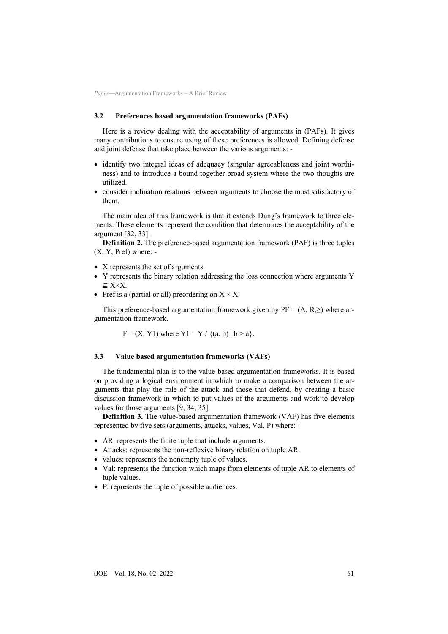#### **3.2 Preferences based argumentation frameworks (PAFs)**

Here is a review dealing with the acceptability of arguments in (PAFs). It gives many contributions to ensure using of these preferences is allowed. Defining defense and joint defense that take place between the various arguments: -

- identify two integral ideas of adequacy (singular agreeableness and joint worthiness) and to introduce a bound together broad system where the two thoughts are utilized.
- consider inclination relations between arguments to choose the most satisfactory of them.

The main idea of this framework is that it extends Dung's framework to three elements. These elements represent the condition that determines the acceptability of the argument [32, 33].

**Definition 2.** The preference-based argumentation framework (PAF) is three tuples (X, Y, Pref) where: -

- X represents the set of arguments.
- Y represents the binary relation addressing the loss connection where arguments Y  $\subseteq$  X $\times$ X.
- Pref is a (partial or all) preordering on  $X \times X$ .

This preference-based argumentation framework given by  $PF = (A, R, \geq)$  where argumentation framework.

 $F = (X, Y1)$  where  $Y1 = Y / \{(a, b) | b > a\}.$ 

#### **3.3 Value based argumentation frameworks (VAFs)**

The fundamental plan is to the value-based argumentation frameworks. It is based on providing a logical environment in which to make a comparison between the arguments that play the role of the attack and those that defend, by creating a basic discussion framework in which to put values of the arguments and work to develop values for those arguments [9, 34, 35].

**Definition 3.** The value-based argumentation framework (VAF) has five elements represented by five sets (arguments, attacks, values, Val, P) where: -

- AR: represents the finite tuple that include arguments.
- Attacks: represents the non-reflexive binary relation on tuple AR.
- values: represents the nonempty tuple of values.
- Val: represents the function which maps from elements of tuple AR to elements of tuple values.
- P: represents the tuple of possible audiences.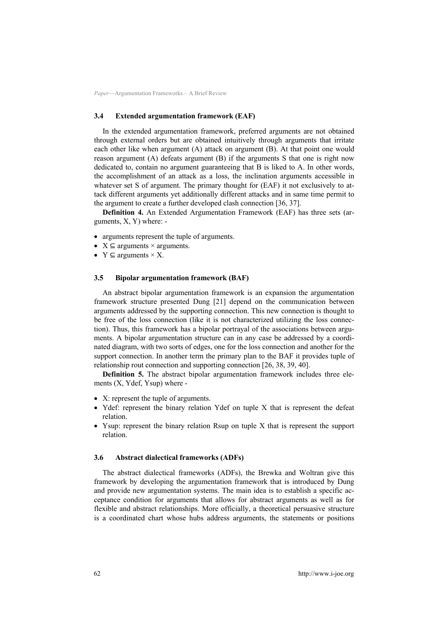#### **3.4 Extended argumentation framework (EAF)**

In the extended argumentation framework, preferred arguments are not obtained through external orders but are obtained intuitively through arguments that irritate each other like when argument (A) attack on argument (B). At that point one would reason argument (A) defeats argument (B) if the arguments S that one is right now dedicated to, contain no argument guaranteeing that B is liked to A. In other words, the accomplishment of an attack as a loss, the inclination arguments accessible in whatever set S of argument. The primary thought for (EAF) it not exclusively to attack different arguments yet additionally different attacks and in same time permit to the argument to create a further developed clash connection [36, 37].

**Definition 4.** An Extended Argumentation Framework (EAF) has three sets (arguments, X, Y) where: -

- arguments represent the tuple of arguments.
- $X \subseteq$  arguments  $\times$  arguments.
- $Y \subseteq$  arguments  $\times X$ .

#### **3.5 Bipolar argumentation framework (BAF)**

An abstract bipolar argumentation framework is an expansion the argumentation framework structure presented Dung [21] depend on the communication between arguments addressed by the supporting connection. This new connection is thought to be free of the loss connection (like it is not characterized utilizing the loss connection). Thus, this framework has a bipolar portrayal of the associations between arguments. A bipolar argumentation structure can in any case be addressed by a coordinated diagram, with two sorts of edges, one for the loss connection and another for the support connection. In another term the primary plan to the BAF it provides tuple of relationship rout connection and supporting connection [26, 38, 39, 40].

**Definition 5.** The abstract bipolar argumentation framework includes three elements (X, Ydef, Ysup) where -

- X: represent the tuple of arguments.
- Ydef: represent the binary relation Ydef on tuple X that is represent the defeat relation.
- Ysup: represent the binary relation Rsup on tuple X that is represent the support relation.

#### **3.6 Abstract dialectical frameworks (ADFs)**

The abstract dialectical frameworks (ADFs), the Brewka and Woltran give this framework by developing the argumentation framework that is introduced by Dung and provide new argumentation systems. The main idea is to establish a specific acceptance condition for arguments that allows for abstract arguments as well as for flexible and abstract relationships. More officially, a theoretical persuasive structure is a coordinated chart whose hubs address arguments, the statements or positions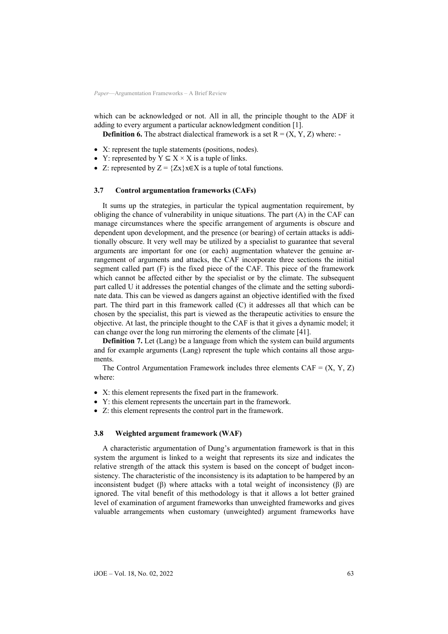which can be acknowledged or not. All in all, the principle thought to the ADF it adding to every argument a particular acknowledgment condition [1].

**Definition 6.** The abstract dialectical framework is a set  $R = (X, Y, Z)$  where: -

- X: represent the tuple statements (positions, nodes).
- Y: represented by  $Y \subseteq X \times X$  is a tuple of links.
- Z: represented by  $Z = \{Zx\}x \in X$  is a tuple of total functions.

#### **3.7 Control argumentation frameworks (CAFs)**

It sums up the strategies, in particular the typical augmentation requirement, by obliging the chance of vulnerability in unique situations. The part (A) in the CAF can manage circumstances where the specific arrangement of arguments is obscure and dependent upon development, and the presence (or bearing) of certain attacks is additionally obscure. It very well may be utilized by a specialist to guarantee that several arguments are important for one (or each) augmentation whatever the genuine arrangement of arguments and attacks, the CAF incorporate three sections the initial segment called part (F) is the fixed piece of the CAF. This piece of the framework which cannot be affected either by the specialist or by the climate. The subsequent part called U it addresses the potential changes of the climate and the setting subordinate data. This can be viewed as dangers against an objective identified with the fixed part. The third part in this framework called (C) it addresses all that which can be chosen by the specialist, this part is viewed as the therapeutic activities to ensure the objective. At last, the principle thought to the CAF is that it gives a dynamic model; it can change over the long run mirroring the elements of the climate [41].

**Definition 7.** Let (Lang) be a language from which the system can build arguments and for example arguments (Lang) represent the tuple which contains all those arguments.

The Control Argumentation Framework includes three elements  $CAF = (X, Y, Z)$ where:

- X: this element represents the fixed part in the framework.
- Y: this element represents the uncertain part in the framework.
- Z: this element represents the control part in the framework.

#### **3.8 Weighted argument framework (WAF)**

A characteristic argumentation of Dung's argumentation framework is that in this system the argument is linked to a weight that represents its size and indicates the relative strength of the attack this system is based on the concept of budget inconsistency. The characteristic of the inconsistency is its adaptation to be hampered by an inconsistent budget (β) where attacks with a total weight of inconsistency (β) are ignored. The vital benefit of this methodology is that it allows a lot better grained level of examination of argument frameworks than unweighted frameworks and gives valuable arrangements when customary (unweighted) argument frameworks have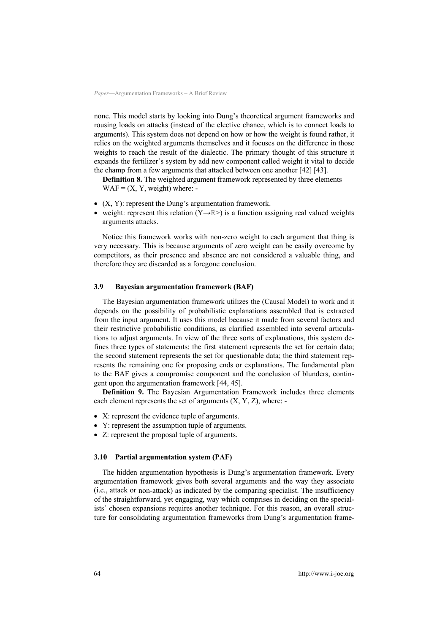none. This model starts by looking into Dung's theoretical argument frameworks and rousing loads on attacks (instead of the elective chance, which is to connect loads to arguments). This system does not depend on how or how the weight is found rather, it relies on the weighted arguments themselves and it focuses on the difference in those weights to reach the result of the dialectic. The primary thought of this structure it expands the fertilizer's system by add new component called weight it vital to decide the champ from a few arguments that attacked between one another [42] [43].

**Definition 8.** The weighted argument framework represented by three elements  $WAF = (X, Y, weight)$  where: -

- (X, Y): represent the Dung's argumentation framework.
- weight: represent this relation  $(Y \rightarrow \mathbb{R}^>)$  is a function assigning real valued weights arguments attacks.

Notice this framework works with non-zero weight to each argument that thing is very necessary. This is because arguments of zero weight can be easily overcome by competitors, as their presence and absence are not considered a valuable thing, and therefore they are discarded as a foregone conclusion.

### **3.9 Bayesian argumentation framework (BAF)**

The Bayesian argumentation framework utilizes the (Causal Model) to work and it depends on the possibility of probabilistic explanations assembled that is extracted from the input argument. It uses this model because it made from several factors and their restrictive probabilistic conditions, as clarified assembled into several articulations to adjust arguments. In view of the three sorts of explanations, this system defines three types of statements: the first statement represents the set for certain data; the second statement represents the set for questionable data; the third statement represents the remaining one for proposing ends or explanations. The fundamental plan to the BAF gives a compromise component and the conclusion of blunders, contingent upon the argumentation framework [44, 45].

**Definition 9.** The Bayesian Argumentation Framework includes three elements each element represents the set of arguments  $(X, Y, Z)$ , where: -

- X: represent the evidence tuple of arguments.
- Y: represent the assumption tuple of arguments.
- Z: represent the proposal tuple of arguments.

#### **3.10 Partial argumentation system (PAF)**

The hidden argumentation hypothesis is Dung's argumentation framework. Every argumentation framework gives both several arguments and the way they associate (i.e., attack or non-attack) as indicated by the comparing specialist. The insufficiency of the straightforward, yet engaging, way which comprises in deciding on the specialists' chosen expansions requires another technique. For this reason, an overall structure for consolidating argumentation frameworks from Dung's argumentation frame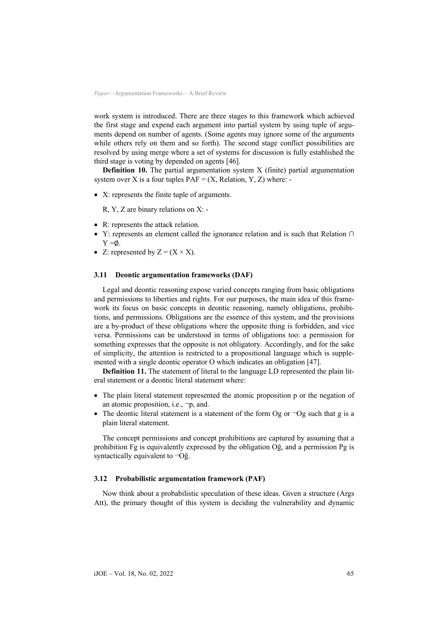work system is introduced. There are three stages to this framework which achieved the first stage and expend each argument into partial system by using tuple of arguments depend on number of agents. (Some agents may ignore some of the arguments while others rely on them and so forth). The second stage conflict possibilities are resolved by using merge where a set of systems for discussion is fully established the third stage is voting by depended on agents [46].

**Definition 10.** The partial argumentation system X (finite) partial argumentation system over X is a four tuples  $PAF = (X, Relation, Y, Z)$  where: -

• X: represents the finite tuple of arguments.

R, Y, Z are binary relations on X: -

- R: represents the attack relation.
- Y: represents an element called the ignorance relation and is such that Relation ∩  $Y = \emptyset$ .
- Z: represented by  $Z = (X \times X)$ .

#### **3.11 Deontic argumentation frameworks (DAF)**

Legal and deontic reasoning expose varied concepts ranging from basic obligations and permissions to liberties and rights. For our purposes, the main idea of this framework its focus on basic concepts in deontic reasoning, namely obligations, prohibitions, and permissions. Obligations are the essence of this system, and the provisions are a by-product of these obligations where the opposite thing is forbidden, and vice versa. Permissions can be understood in terms of obligations too: a permission for something expresses that the opposite is not obligatory. Accordingly, and for the sake of simplicity, the attention is restricted to a propositional language which is supplemented with a single deontic operator O which indicates an obligation [47].

**Definition 11.** The statement of literal to the language LD represented the plain literal statement or a deontic literal statement where:

- The plain literal statement represented the atomic proposition p or the negation of an atomic proposition, i.e.,  $\neg p$ , and.
- The deontic literal statement is a statement of the form Og or  $\neg$ Og such that g is a plain literal statement.

The concept permissions and concept prohibitions are captured by assuming that a prohibition Fg is equivalently expressed by the obligation Oḡ, and a permission Pg is syntactically equivalent to  $\neg$ Og.

#### **3.12 Probabilistic argumentation framework (PAF)**

Now think about a probabilistic speculation of these ideas. Given a structure (Args Att), the primary thought of this system is deciding the vulnerability and dynamic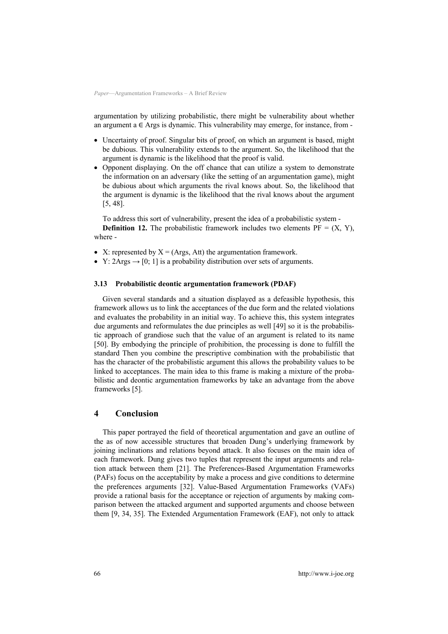argumentation by utilizing probabilistic, there might be vulnerability about whether an argument a  $\in$  Args is dynamic. This vulnerability may emerge, for instance, from -

- Uncertainty of proof. Singular bits of proof, on which an argument is based, might be dubious. This vulnerability extends to the argument. So, the likelihood that the argument is dynamic is the likelihood that the proof is valid.
- Opponent displaying. On the off chance that can utilize a system to demonstrate the information on an adversary (like the setting of an argumentation game), might be dubious about which arguments the rival knows about. So, the likelihood that the argument is dynamic is the likelihood that the rival knows about the argument [5, 48].

To address this sort of vulnerability, present the idea of a probabilistic system -

**Definition 12.** The probabilistic framework includes two elements  $PF = (X, Y)$ , where -

- X: represented by  $X = (Args, Att)$  the argumentation framework.
- Y: 2Args  $\rightarrow$  [0; 1] is a probability distribution over sets of arguments.

## **3.13 Probabilistic deontic argumentation framework (PDAF)**

Given several standards and a situation displayed as a defeasible hypothesis, this framework allows us to link the acceptances of the due form and the related violations and evaluates the probability in an initial way. To achieve this, this system integrates due arguments and reformulates the due principles as well [49] so it is the probabilistic approach of grandiose such that the value of an argument is related to its name [50]. By embodying the principle of prohibition, the processing is done to fulfill the standard Then you combine the prescriptive combination with the probabilistic that has the character of the probabilistic argument this allows the probability values to be linked to acceptances. The main idea to this frame is making a mixture of the probabilistic and deontic argumentation frameworks by take an advantage from the above frameworks [5].

## **4 Conclusion**

This paper portrayed the field of theoretical argumentation and gave an outline of the as of now accessible structures that broaden Dung's underlying framework by joining inclinations and relations beyond attack. It also focuses on the main idea of each framework. Dung gives two tuples that represent the input arguments and relation attack between them [21]. The Preferences-Based Argumentation Frameworks (PAFs) focus on the acceptability by make a process and give conditions to determine the preferences arguments [32]. Value-Based Argumentation Frameworks (VAFs) provide a rational basis for the acceptance or rejection of arguments by making comparison between the attacked argument and supported arguments and choose between them [9, 34, 35]. The Extended Argumentation Framework (EAF), not only to attack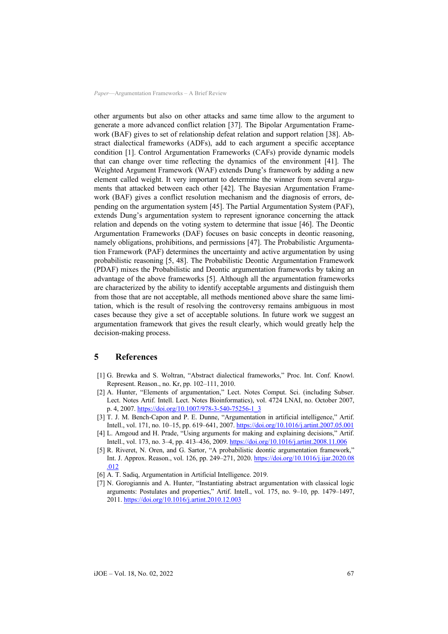other arguments but also on other attacks and same time allow to the argument to generate a more advanced conflict relation [37]. The Bipolar Argumentation Framework (BAF) gives to set of relationship defeat relation and support relation [38]. Abstract dialectical frameworks (ADFs), add to each argument a specific acceptance condition [1]. Control Argumentation Frameworks (CAFs) provide dynamic models that can change over time reflecting the dynamics of the environment [41]. The Weighted Argument Framework (WAF) extends Dung's framework by adding a new element called weight. It very important to determine the winner from several arguments that attacked between each other [42]. The Bayesian Argumentation Framework (BAF) gives a conflict resolution mechanism and the diagnosis of errors, depending on the argumentation system [45]. The Partial Argumentation System (PAF), extends Dung's argumentation system to represent ignorance concerning the attack relation and depends on the voting system to determine that issue [46]. The Deontic Argumentation Frameworks (DAF) focuses on basic concepts in deontic reasoning, namely obligations, prohibitions, and permissions [47]. The Probabilistic Argumentation Framework (PAF) determines the uncertainty and active argumentation by using probabilistic reasoning [5, 48]. The Probabilistic Deontic Argumentation Framework (PDAF) mixes the Probabilistic and Deontic argumentation frameworks by taking an advantage of the above frameworks [5]. Although all the argumentation frameworks are characterized by the ability to identify acceptable arguments and distinguish them from those that are not acceptable, all methods mentioned above share the same limitation, which is the result of resolving the controversy remains ambiguous in most cases because they give a set of acceptable solutions. In future work we suggest an argumentation framework that gives the result clearly, which would greatly help the decision-making process.

### **5 References**

- [1] G. Brewka and S. Woltran, "Abstract dialectical frameworks," Proc. Int. Conf. Knowl. Represent. Reason., no. Kr, pp. 102–111, 2010.
- [2] A. Hunter, "Elements of argumentation," Lect. Notes Comput. Sci. (including Subser. Lect. Notes Artif. Intell. Lect. Notes Bioinformatics), vol. 4724 LNAI, no. October 2007, p. 4, 2007. [https://doi.org/10.1007/978-3-540-75256-1\\_3](https://doi.org/10.1007/978-3-540-75256-1_3)
- [3] T. J. M. Bench-Capon and P. E. Dunne, "Argumentation in artificial intelligence," Artif. Intell., vol. 171, no. 10–15, pp. 619–641, 2007. <https://doi.org/10.1016/j.artint.2007.05.001>
- [4] L. Amgoud and H. Prade, "Using arguments for making and explaining decisions," Artif. Intell., vol. 173, no. 3–4, pp. 413–436, 2009. <https://doi.org/10.1016/j.artint.2008.11.006>
- [5] R. Riveret, N. Oren, and G. Sartor, "A probabilistic deontic argumentation framework," Int. J. Approx. Reason., vol. 126, pp. 249–271, 2020. [https://doi.org/10.1016/j.ijar.2020.08](https://doi.org/10.1016/j.ijar.2020.08.012) [.012](https://doi.org/10.1016/j.ijar.2020.08.012)
- [6] A. T. Sadiq, Argumentation in Artificial Intelligence. 2019.
- [7] N. Gorogiannis and A. Hunter, "Instantiating abstract argumentation with classical logic arguments: Postulates and properties," Artif. Intell., vol. 175, no. 9–10, pp. 1479–1497, 2011. <https://doi.org/10.1016/j.artint.2010.12.003>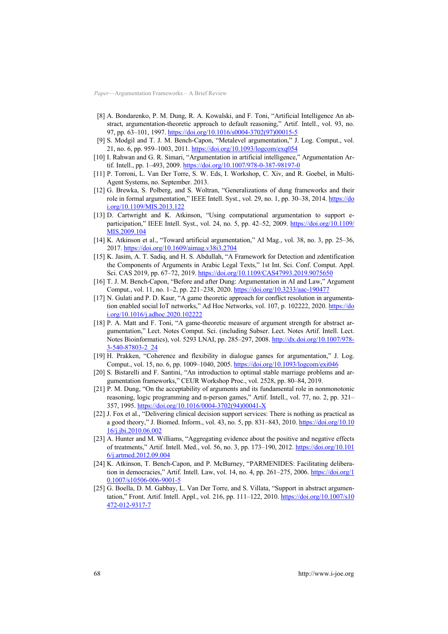- [8] A. Bondarenko, P. M. Dung, R. A. Kowalski, and F. Toni, "Artificial Intelligence An abstract, argumentation-theoretic approach to default reasoning," Artif. Intell., vol. 93, no. 97, pp. 63-101, 1997. [https://doi.org/10.1016/s0004-3702\(97\)00015-5](https://doi.org/10.1016/s0004-3702(97)00015-5)
- [9] S. Modgil and T. J. M. Bench-Capon, "Metalevel argumentation," J. Log. Comput., vol. 21, no. 6, pp. 959–1003, 2011. <https://doi.org/10.1093/logcom/exq054>
- [10] I. Rahwan and G. R. Simari, "Argumentation in artificial intelligence," Argumentation Artif. Intell., pp. 1–493, 2009. <https://doi.org/10.1007/978-0-387-98197-0>
- [11] P. Torroni, L. Van Der Torre, S. W. Eds, I. Workshop, C. Xiv, and R. Goebel, in Multi-Agent Systems, no. September. 2013.
- [12] G. Brewka, S. Polberg, and S. Woltran, "Generalizations of dung frameworks and their role in formal argumentation," IEEE Intell. Syst., vol. 29, no. 1, pp. 30–38, 2014. [https://do](https://doi.org/10.1109/MIS.2013.122) [i.org/10.1109/MIS.2013.122](https://doi.org/10.1109/MIS.2013.122)
- [13] D. Cartwright and K. Atkinson, "Using computational argumentation to support eparticipation," IEEE Intell. Syst., vol. 24, no. 5, pp. 42–52, 2009. [https://doi.org/10.1109/](https://doi.org/10.1109/MIS.2009.104) [MIS.2009.104](https://doi.org/10.1109/MIS.2009.104)
- [14] K. Atkinson et al., "Toward artificial argumentation," AI Mag., vol. 38, no. 3, pp. 25–36, 2017. <https://doi.org/10.1609/aimag.v38i3.2704>
- [15] K. Jasim, A. T. Sadiq, and H. S. Abdullah, "A Framework for Detection and zdentification the Components of Arguments in Arabic Legal Texts," 1st Int. Sci. Conf. Comput. Appl. Sci. CAS 2019, pp. 67–72, 2019. <https://doi.org/10.1109/CAS47993.2019.9075650>
- [16] T. J. M. Bench-Capon, "Before and after Dung: Argumentation in AI and Law," Argument Comput., vol. 11, no. 1–2, pp. 221–238, 2020. <https://doi.org/10.3233/aac-190477>
- [17] N. Gulati and P. D. Kaur, "A game theoretic approach for conflict resolution in argumentation enabled social IoT networks," Ad Hoc Networks, vol. 107, p. 102222, 2020. [https://do](https://doi.org/10.1016/j.adhoc.2020.102222) [i.org/10.1016/j.adhoc.2020.102222](https://doi.org/10.1016/j.adhoc.2020.102222)
- [18] P. A. Matt and F. Toni, "A game-theoretic measure of argument strength for abstract argumentation," Lect. Notes Comput. Sci. (including Subser. Lect. Notes Artif. Intell. Lect. Notes Bioinformatics), vol. 5293 LNAI, pp. 285–297, 2008. [http://dx.doi.org/10.1007/978-](http://dx.doi.org/10.1007/978-3-540-87803-2_24) [3-540-87803-2\\_24](http://dx.doi.org/10.1007/978-3-540-87803-2_24)
- [19] H. Prakken, "Coherence and flexibility in dialogue games for argumentation," J. Log. Comput., vol. 15, no. 6, pp. 1009–1040, 2005. <https://doi.org/10.1093/logcom/exi046>
- [20] S. Bistarelli and F. Santini, "An introduction to optimal stable marriage problems and argumentation frameworks," CEUR Workshop Proc., vol. 2528, pp. 80–84, 2019.
- [21] P. M. Dung, "On the acceptability of arguments and its fundamental role in nonmonotonic reasoning, logic programming and n-person games," Artif. Intell., vol. 77, no. 2, pp. 321– 357, 1995. [https://doi.org/10.1016/0004-3702\(94\)00041-X](https://doi.org/10.1016/0004-3702(94)00041-X)
- [22] J. Fox et al., "Delivering clinical decision support services: There is nothing as practical as a good theory," J. Biomed. Inform., vol. 43, no. 5, pp. 831–843, 2010. [https://doi.org/10.10](https://doi.org/10.1016/j.jbi.2010.06.002) [16/j.jbi.2010.06.002](https://doi.org/10.1016/j.jbi.2010.06.002)
- [23] A. Hunter and M. Williams, "Aggregating evidence about the positive and negative effects of treatments," Artif. Intell. Med., vol. 56, no. 3, pp. 173–190, 2012. [https://doi.org/10.101](https://doi.org/10.1016/j.artmed.2012.09.004) [6/j.artmed.2012.09.004](https://doi.org/10.1016/j.artmed.2012.09.004)
- [24] K. Atkinson, T. Bench-Capon, and P. McBurney, "PARMENIDES: Facilitating deliberation in democracies," Artif. Intell. Law, vol. 14, no. 4, pp. 261-275, 2006. [https://doi.org/1](https://doi.org/10.1007/s10506-006-9001-5) [0.1007/s10506-006-9001-5](https://doi.org/10.1007/s10506-006-9001-5)
- [25] G. Boella, D. M. Gabbay, L. Van Der Torre, and S. Villata, "Support in abstract argumentation," Front. Artif. Intell. Appl., vol. 216, pp. 111–122, 2010. [https://doi.org/10.1007/s10](https://doi.org/10.1007/s10472-012-9317-7) [472-012-9317-7](https://doi.org/10.1007/s10472-012-9317-7)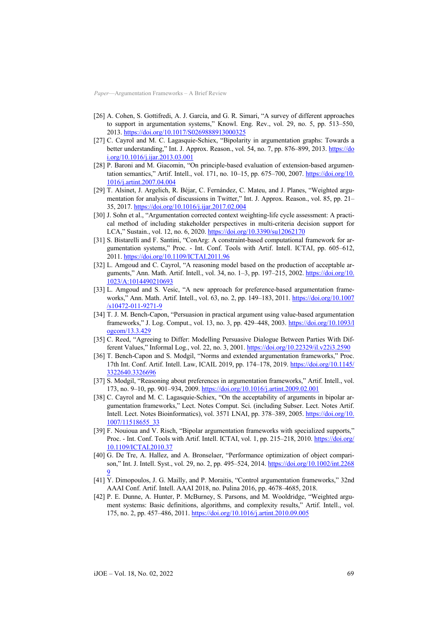- [26] A. Cohen, S. Gottifredi, A. J. García, and G. R. Simari, "A survey of different approaches to support in argumentation systems," Knowl. Eng. Rev., vol. 29, no. 5, pp. 513–550, 2013. <https://doi.org/10.1017/S0269888913000325>
- [27] C. Cayrol and M. C. Lagasquie-Schiex, "Bipolarity in argumentation graphs: Towards a better understanding," Int. J. Approx. Reason., vol. 54, no. 7, pp. 876–899, 2013. [https://do](https://doi.org/10.1016/j.ijar.2013.03.001) [i.org/10.1016/j.ijar.2013.03.001](https://doi.org/10.1016/j.ijar.2013.03.001)
- [28] P. Baroni and M. Giacomin, "On principle-based evaluation of extension-based argumentation semantics," Artif. Intell., vol. 171, no. 10-15, pp. 675-700, 2007. [https://doi.org/10.](https://doi.org/10.1016/j.artint.2007.04.004) [1016/j.artint.2007.04.004](https://doi.org/10.1016/j.artint.2007.04.004)
- [29] T. Alsinet, J. Argelich, R. Béjar, C. Fernández, C. Mateu, and J. Planes, "Weighted argumentation for analysis of discussions in Twitter," Int. J. Approx. Reason., vol. 85, pp. 21– 35, 2017. <https://doi.org/10.1016/j.ijar.2017.02.004>
- [30] J. Sohn et al., "Argumentation corrected context weighting-life cycle assessment: A practical method of including stakeholder perspectives in multi-criteria decision support for LCA," Sustain., vol. 12, no. 6, 2020. <https://doi.org/10.3390/su12062170>
- [31] S. Bistarelli and F. Santini, "ConArg: A constraint-based computational framework for argumentation systems," Proc. - Int. Conf. Tools with Artif. Intell. ICTAI, pp. 605–612, 2011. <https://doi.org/10.1109/ICTAI.2011.96>
- [32] L. Amgoud and C. Cayrol, "A reasoning model based on the production of acceptable arguments," Ann. Math. Artif. Intell., vol. 34, no. 1–3, pp. 197–215, 2002. [https://doi.org/10.](https://doi.org/10.1023/A:1014490210693) [1023/A:1014490210693](https://doi.org/10.1023/A:1014490210693)
- [33] L. Amgoud and S. Vesic, "A new approach for preference-based argumentation frameworks," Ann. Math. Artif. Intell., vol. 63, no. 2, pp. 149–183, 2011. [https://doi.org/10.1007](https://doi.org/10.1007/s10472-011-9271-9) [/s10472-011-9271-9](https://doi.org/10.1007/s10472-011-9271-9)
- [34] T. J. M. Bench-Capon, "Persuasion in practical argument using value-based argumentation frameworks," J. Log. Comput., vol. 13, no. 3, pp. 429–448, 2003. [https://doi.org/10.1093/l](https://doi.org/10.1093/logcom/13.3.429) [ogcom/13.3.429](https://doi.org/10.1093/logcom/13.3.429)
- [35] C. Reed, "Agreeing to Differ: Modelling Persuasive Dialogue Between Parties With Different Values," Informal Log., vol. 22, no. 3, 2001. <https://doi.org/10.22329/il.v22i3.2590>
- [36] T. Bench-Capon and S. Modgil, "Norms and extended argumentation frameworks," Proc. 17th Int. Conf. Artif. Intell. Law, ICAIL 2019, pp. 174-178, 2019. [https://doi.org/10.1145/](https://doi.org/10.1145/3322640.3326696) [3322640.3326696](https://doi.org/10.1145/3322640.3326696)
- [37] S. Modgil, "Reasoning about preferences in argumentation frameworks," Artif. Intell., vol. 173, no. 9–10, pp. 901–934, 2009. <https://doi.org/10.1016/j.artint.2009.02.001>
- [38] C. Cayrol and M. C. Lagasquie-Schiex, "On the acceptability of arguments in bipolar argumentation frameworks," Lect. Notes Comput. Sci. (including Subser. Lect. Notes Artif. Intell. Lect. Notes Bioinformatics), vol. 3571 LNAI, pp. 378–389, 2005. [https://doi.org/10.](https://doi.org/10.1007/11518655_33) [1007/11518655\\_33](https://doi.org/10.1007/11518655_33)
- [39] F. Nouioua and V. Risch, "Bipolar argumentation frameworks with specialized supports," Proc. - Int. Conf. Tools with Artif. Intell. ICTAI, vol. 1, pp. 215-218, 2010. [https://doi.org/](https://doi.org/10.1109/ICTAI.2010.37) [10.1109/ICTAI.2010.37](https://doi.org/10.1109/ICTAI.2010.37)
- [40] G. De Tre, A. Hallez, and A. Bronselaer, "Performance optimization of object comparison," Int. J. Intell. Syst., vol. 29, no. 2, pp. 495–524, 2014. [https://doi.org/10.1002/int.2268](https://doi.org/10.1002/int.22689) [9](https://doi.org/10.1002/int.22689)
- [41] Y. Dimopoulos, J. G. Mailly, and P. Moraitis, "Control argumentation frameworks," 32nd AAAI Conf. Artif. Intell. AAAI 2018, no. Pulina 2016, pp. 4678–4685, 2018.
- [42] P. E. Dunne, A. Hunter, P. McBurney, S. Parsons, and M. Wooldridge, "Weighted argument systems: Basic definitions, algorithms, and complexity results," Artif. Intell., vol. 175, no. 2, pp. 457–486, 2011. <https://doi.org/10.1016/j.artint.2010.09.005>